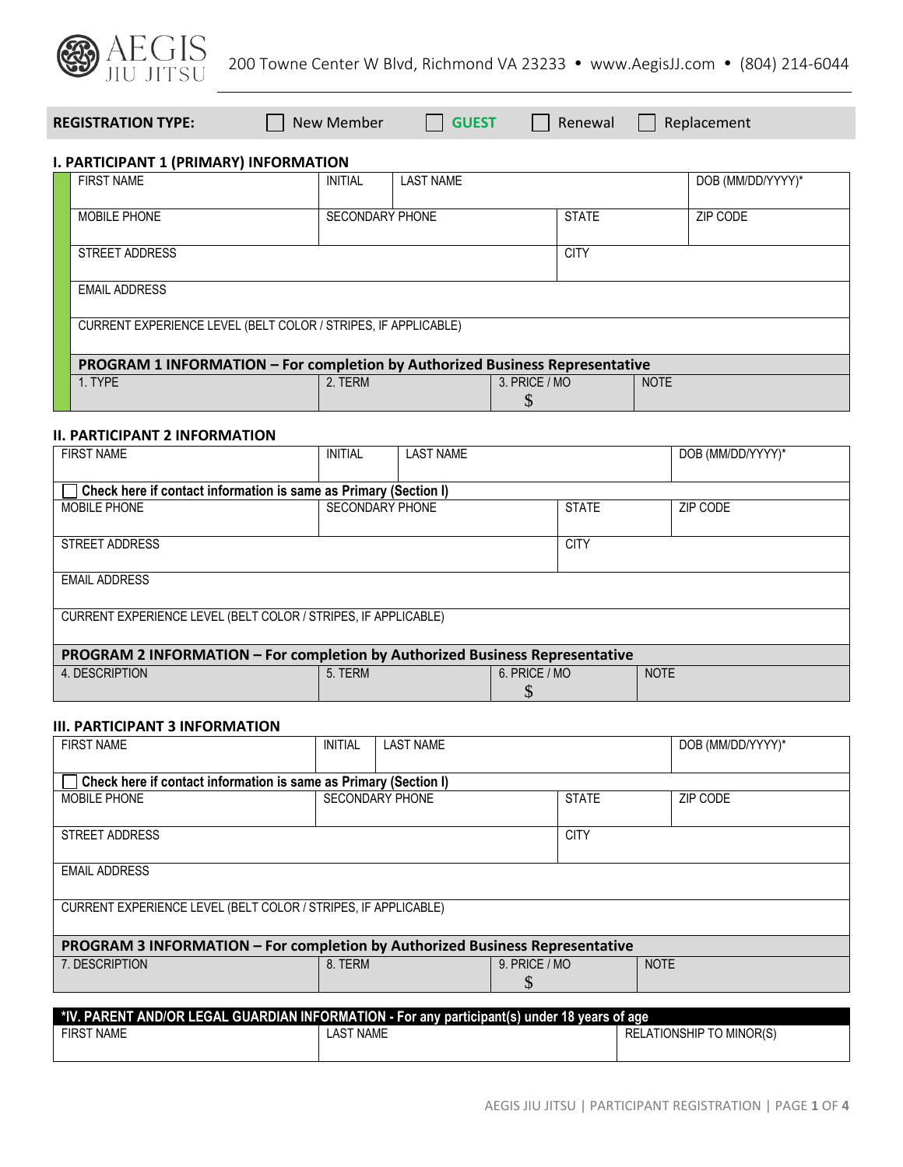

**REGISTRATION TYPE:** New Member **GUEST** Renewal Replacement

# **I. PARTICIPANT 1 (PRIMARY) INFORMATION**

| <b>FIRST NAME</b>                                                            | <b>INITIAL</b>         | <b>LAST NAME</b> |               | DOB (MM/DD/YYYY)* |
|------------------------------------------------------------------------------|------------------------|------------------|---------------|-------------------|
| <b>MOBILE PHONE</b>                                                          | <b>SECONDARY PHONE</b> |                  | <b>STATE</b>  | ZIP CODE          |
| STREET ADDRESS                                                               |                        |                  | <b>CITY</b>   |                   |
|                                                                              |                        |                  |               |                   |
| <b>EMAIL ADDRESS</b>                                                         |                        |                  |               |                   |
| CURRENT EXPERIENCE LEVEL (BELT COLOR / STRIPES, IF APPLICABLE)               |                        |                  |               |                   |
| PROGRAM 1 INFORMATION - For completion by Authorized Business Representative |                        |                  |               |                   |
| 1. TYPE                                                                      | 2. TERM                |                  | 3. PRICE / MO | <b>NOTE</b>       |
|                                                                              |                        |                  |               |                   |

#### **II. PARTICIPANT 2 INFORMATION**

| <b>FIRST NAME</b>                                                            | <b>INITIAL</b> | <b>LAST NAME</b>                       |               | DOB (MM/DD/YYYY)* |             |
|------------------------------------------------------------------------------|----------------|----------------------------------------|---------------|-------------------|-------------|
|                                                                              |                |                                        |               |                   |             |
| Check here if contact information is same as Primary (Section I)             |                |                                        |               |                   |             |
| MOBILE PHONE                                                                 |                | <b>SECONDARY PHONE</b><br><b>STATE</b> |               |                   | ZIP CODE    |
|                                                                              |                |                                        |               |                   |             |
| STREET ADDRESS                                                               | <b>CITY</b>    |                                        |               |                   |             |
|                                                                              |                |                                        |               |                   |             |
| <b>EMAIL ADDRESS</b>                                                         |                |                                        |               |                   |             |
|                                                                              |                |                                        |               |                   |             |
| CURRENT EXPERIENCE LEVEL (BELT COLOR / STRIPES, IF APPLICABLE)               |                |                                        |               |                   |             |
|                                                                              |                |                                        |               |                   |             |
| PROGRAM 2 INFORMATION - For completion by Authorized Business Representative |                |                                        |               |                   |             |
| 4. DESCRIPTION                                                               | 5. TERM        |                                        | 6. PRICE / MO |                   | <b>NOTE</b> |
|                                                                              |                |                                        |               |                   |             |

## **III. PARTICIPANT 3 INFORMATION**

| <b>FIRST NAME</b>                                                                            | <b>INITIAL</b>   | <b>LAST NAME</b>                       |                      | DOB (MM/DD/YYYY)*               |  |
|----------------------------------------------------------------------------------------------|------------------|----------------------------------------|----------------------|---------------------------------|--|
| Check here if contact information is same as Primary (Section I)                             |                  |                                        |                      |                                 |  |
| <b>MOBILE PHONE</b>                                                                          |                  | <b>SECONDARY PHONE</b><br><b>STATE</b> |                      | ZIP CODE                        |  |
| STREET ADDRESS                                                                               | <b>CITY</b>      |                                        |                      |                                 |  |
| <b>EMAIL ADDRESS</b>                                                                         |                  |                                        |                      |                                 |  |
| CURRENT EXPERIENCE LEVEL (BELT COLOR / STRIPES, IF APPLICABLE)                               |                  |                                        |                      |                                 |  |
| PROGRAM 3 INFORMATION - For completion by Authorized Business Representative                 |                  |                                        |                      |                                 |  |
| 7. DESCRIPTION                                                                               | 8. TERM          |                                        | $9.$ PRICE / MO<br>S | <b>NOTE</b>                     |  |
| *IV. PARENT AND/OR LEGAL GUARDIAN INFORMATION - For any participant(s) under 18 years of age |                  |                                        |                      |                                 |  |
| <b>FIRST NAME</b>                                                                            | <b>LAST NAME</b> |                                        |                      | <b>RELATIONSHIP TO MINOR(S)</b> |  |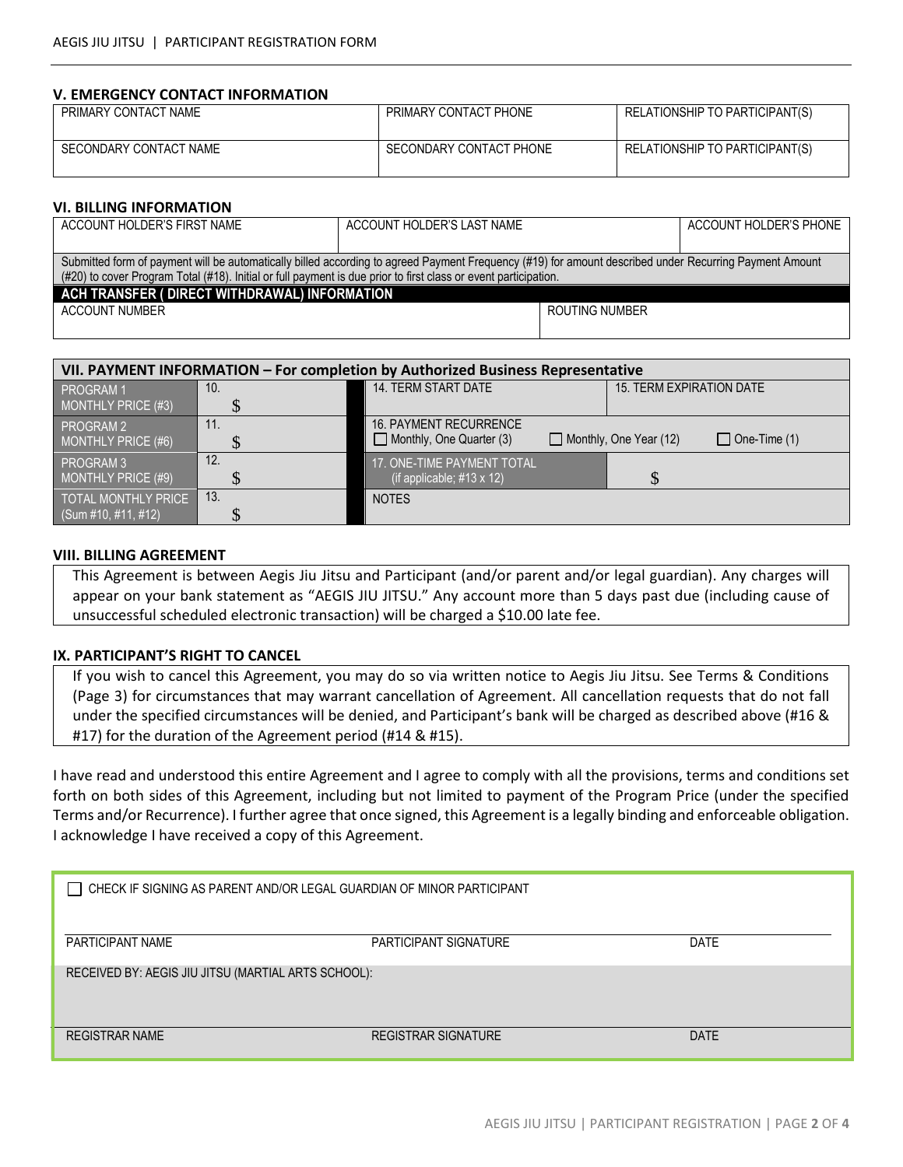#### **V. EMERGENCY CONTACT INFORMATION**

| PRIMARY CONTACT NAME   | PRIMARY CONTACT PHONE   | RELATIONSHIP TO PARTICIPANT(S) |
|------------------------|-------------------------|--------------------------------|
| SECONDARY CONTACT NAME | SECONDARY CONTACT PHONE | RELATIONSHIP TO PARTICIPANT(S) |

#### **VI. BILLING INFORMATION**

| ACCOUNT HOLDER'S FIRST NAME                                                                                                                            | ACCOUNT HOLDER'S LAST NAME |                | ACCOUNT HOLDER'S PHONE |  |
|--------------------------------------------------------------------------------------------------------------------------------------------------------|----------------------------|----------------|------------------------|--|
|                                                                                                                                                        |                            |                |                        |  |
| Submitted form of payment will be automatically billed according to agreed Payment Frequency (#19) for amount described under Recurring Payment Amount |                            |                |                        |  |
| (#20) to cover Program Total (#18). Initial or full payment is due prior to first class or event participation.                                        |                            |                |                        |  |
| ACH TRANSFER ( DIRECT WITHDRAWAL) INFORMATION                                                                                                          |                            |                |                        |  |
| ACCOUNT NUMBER                                                                                                                                         |                            | ROUTING NUMBER |                        |  |
|                                                                                                                                                        |                            |                |                        |  |

| VII. PAYMENT INFORMATION - For completion by Authorized Business Representative |     |                                                                  |                                                      |  |
|---------------------------------------------------------------------------------|-----|------------------------------------------------------------------|------------------------------------------------------|--|
| PROGRAM 1                                                                       | 10. | 14. TERM START DATE                                              | <b>15. TERM EXPIRATION DATE</b>                      |  |
| <b>MONTHLY PRICE (#3)</b>                                                       |     |                                                                  |                                                      |  |
| PROGRAM 2<br>MONTHLY PRICE (#6)                                                 |     | <b>16. PAYMENT RECURRENCE</b><br>$\Box$ Monthly, One Quarter (3) | $\Box$ One-Time (1)<br>$\Box$ Monthly, One Year (12) |  |
| PROGRAM 3<br><b>MONTHLY PRICE (#9)</b>                                          | 12. | 17. ONE-TIME PAYMENT TOTAL<br>(if applicable; $\#13 \times 12$ ) | $\mathcal{S}$                                        |  |
| TOTAL MONTHLY PRICE<br>(Sum #10, #11, #12)                                      | 13. | <b>NOTES</b>                                                     |                                                      |  |

#### **VIII. BILLING AGREEMENT**

This Agreement is between Aegis Jiu Jitsu and Participant (and/or parent and/or legal guardian). Any charges will appear on your bank statement as "AEGIS JIU JITSU." Any account more than 5 days past due (including cause of unsuccessful scheduled electronic transaction) will be charged a \$10.00 late fee.

### **IX. PARTICIPANT'S RIGHT TO CANCEL**

If you wish to cancel this Agreement, you may do so via written notice to Aegis Jiu Jitsu. See Terms & Conditions (Page 3) for circumstances that may warrant cancellation of Agreement. All cancellation requests that do not fall under the specified circumstances will be denied, and Participant's bank will be charged as described above (#16 & #17) for the duration of the Agreement period (#14 & #15).

I have read and understood this entire Agreement and I agree to comply with all the provisions, terms and conditions set forth on both sides of this Agreement, including but not limited to payment of the Program Price (under the specified Terms and/or Recurrence). I further agree that once signed, this Agreement is a legally binding and enforceable obligation. I acknowledge I have received a copy of this Agreement.

| CHECK IF SIGNING AS PARENT AND/OR LEGAL GUARDIAN OF MINOR PARTICIPANT |                            |             |  |  |
|-----------------------------------------------------------------------|----------------------------|-------------|--|--|
| PARTICIPANT NAME                                                      | PARTICIPANT SIGNATURE      | <b>DATE</b> |  |  |
| RECEIVED BY: AEGIS JIU JITSU (MARTIAL ARTS SCHOOL):                   |                            |             |  |  |
| <b>REGISTRAR NAME</b>                                                 | <b>REGISTRAR SIGNATURE</b> | <b>DATE</b> |  |  |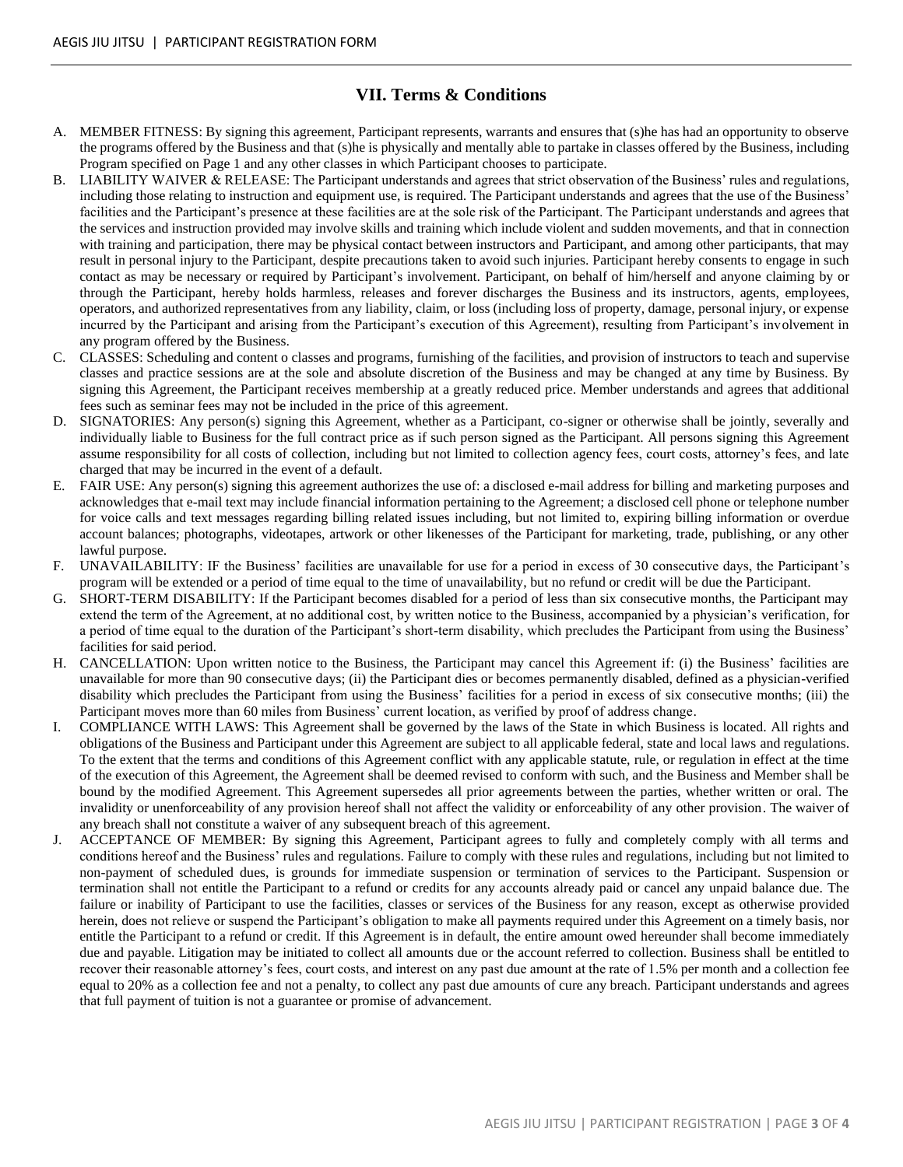# **VII. Terms & Conditions**

- A. MEMBER FITNESS: By signing this agreement, Participant represents, warrants and ensures that (s)he has had an opportunity to observe the programs offered by the Business and that (s)he is physically and mentally able to partake in classes offered by the Business, including Program specified on Page 1 and any other classes in which Participant chooses to participate.
- B. LIABILITY WAIVER & RELEASE: The Participant understands and agrees that strict observation of the Business' rules and regulations, including those relating to instruction and equipment use, is required. The Participant understands and agrees that the use of the Business' facilities and the Participant's presence at these facilities are at the sole risk of the Participant. The Participant understands and agrees that the services and instruction provided may involve skills and training which include violent and sudden movements, and that in connection with training and participation, there may be physical contact between instructors and Participant, and among other participants, that may result in personal injury to the Participant, despite precautions taken to avoid such injuries. Participant hereby consents to engage in such contact as may be necessary or required by Participant's involvement. Participant, on behalf of him/herself and anyone claiming by or through the Participant, hereby holds harmless, releases and forever discharges the Business and its instructors, agents, employees, operators, and authorized representatives from any liability, claim, or loss (including loss of property, damage, personal injury, or expense incurred by the Participant and arising from the Participant's execution of this Agreement), resulting from Participant's involvement in any program offered by the Business.
- C. CLASSES: Scheduling and content o classes and programs, furnishing of the facilities, and provision of instructors to teach and supervise classes and practice sessions are at the sole and absolute discretion of the Business and may be changed at any time by Business. By signing this Agreement, the Participant receives membership at a greatly reduced price. Member understands and agrees that additional fees such as seminar fees may not be included in the price of this agreement.
- D. SIGNATORIES: Any person(s) signing this Agreement, whether as a Participant, co-signer or otherwise shall be jointly, severally and individually liable to Business for the full contract price as if such person signed as the Participant. All persons signing this Agreement assume responsibility for all costs of collection, including but not limited to collection agency fees, court costs, attorney's fees, and late charged that may be incurred in the event of a default.
- E. FAIR USE: Any person(s) signing this agreement authorizes the use of: a disclosed e-mail address for billing and marketing purposes and acknowledges that e-mail text may include financial information pertaining to the Agreement; a disclosed cell phone or telephone number for voice calls and text messages regarding billing related issues including, but not limited to, expiring billing information or overdue account balances; photographs, videotapes, artwork or other likenesses of the Participant for marketing, trade, publishing, or any other lawful purpose.
- F. UNAVAILABILITY: IF the Business' facilities are unavailable for use for a period in excess of 30 consecutive days, the Participant's program will be extended or a period of time equal to the time of unavailability, but no refund or credit will be due the Participant.
- G. SHORT-TERM DISABILITY: If the Participant becomes disabled for a period of less than six consecutive months, the Participant may extend the term of the Agreement, at no additional cost, by written notice to the Business, accompanied by a physician's verification, for a period of time equal to the duration of the Participant's short-term disability, which precludes the Participant from using the Business' facilities for said period.
- H. CANCELLATION: Upon written notice to the Business, the Participant may cancel this Agreement if: (i) the Business' facilities are unavailable for more than 90 consecutive days; (ii) the Participant dies or becomes permanently disabled, defined as a physician-verified disability which precludes the Participant from using the Business' facilities for a period in excess of six consecutive months; (iii) the Participant moves more than 60 miles from Business' current location, as verified by proof of address change.
- I. COMPLIANCE WITH LAWS: This Agreement shall be governed by the laws of the State in which Business is located. All rights and obligations of the Business and Participant under this Agreement are subject to all applicable federal, state and local laws and regulations. To the extent that the terms and conditions of this Agreement conflict with any applicable statute, rule, or regulation in effect at the time of the execution of this Agreement, the Agreement shall be deemed revised to conform with such, and the Business and Member shall be bound by the modified Agreement. This Agreement supersedes all prior agreements between the parties, whether written or oral. The invalidity or unenforceability of any provision hereof shall not affect the validity or enforceability of any other provision. The waiver of any breach shall not constitute a waiver of any subsequent breach of this agreement.
- ACCEPTANCE OF MEMBER: By signing this Agreement, Participant agrees to fully and completely comply with all terms and conditions hereof and the Business' rules and regulations. Failure to comply with these rules and regulations, including but not limited to non-payment of scheduled dues, is grounds for immediate suspension or termination of services to the Participant. Suspension or termination shall not entitle the Participant to a refund or credits for any accounts already paid or cancel any unpaid balance due. The failure or inability of Participant to use the facilities, classes or services of the Business for any reason, except as otherwise provided herein, does not relieve or suspend the Participant's obligation to make all payments required under this Agreement on a timely basis, nor entitle the Participant to a refund or credit. If this Agreement is in default, the entire amount owed hereunder shall become immediately due and payable. Litigation may be initiated to collect all amounts due or the account referred to collection. Business shall be entitled to recover their reasonable attorney's fees, court costs, and interest on any past due amount at the rate of 1.5% per month and a collection fee equal to 20% as a collection fee and not a penalty, to collect any past due amounts of cure any breach. Participant understands and agrees that full payment of tuition is not a guarantee or promise of advancement.